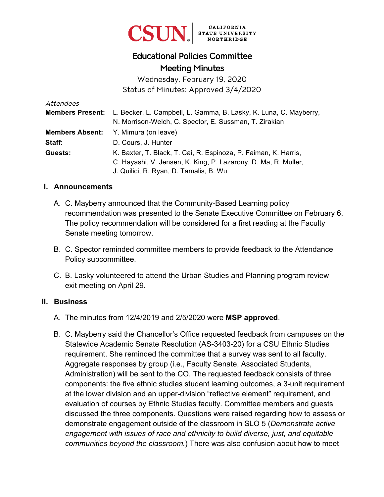

# Educational Policies Committee Meeting Minutes

Wednesday, February 19, 2020 Status of Minutes: Approved 3/4/2020

| Attendees |                                                                                           |
|-----------|-------------------------------------------------------------------------------------------|
|           | <b>Members Present:</b> L. Becker, L. Campbell, L. Gamma, B. Lasky, K. Luna, C. Mayberry, |
|           | N. Morrison-Welch, C. Spector, E. Sussman, T. Zirakian                                    |
|           | <b>Members Absent:</b> Y. Mimura (on leave)                                               |
| Staff:    | D. Cours, J. Hunter                                                                       |
| Guests:   | K. Baxter, T. Black, T. Cai, R. Espinoza, P. Faiman, K. Harris,                           |
|           | C. Hayashi, V. Jensen, K. King, P. Lazarony, D. Ma, R. Muller,                            |
|           | J. Quilici, R. Ryan, D. Tamalis, B. Wu                                                    |

#### **I. Announcements**

- A. C. Mayberry announced that the Community-Based Learning policy recommendation was presented to the Senate Executive Committee on February 6. The policy recommendation will be considered for a first reading at the Faculty Senate meeting tomorrow.
- B. C. Spector reminded committee members to provide feedback to the Attendance Policy subcommittee.
- C. B. Lasky volunteered to attend the Urban Studies and Planning program review exit meeting on April 29.

#### **II. Business**

- A. The minutes from 12/4/2019 and 2/5/2020 were **MSP approved**.
- B. C. Mayberry said the Chancellor's Office requested feedback from campuses on the Statewide Academic Senate Resolution (AS-3403-20) for a CSU Ethnic Studies requirement. She reminded the committee that a survey was sent to all faculty. Aggregate responses by group (i.e., Faculty Senate, Associated Students, Administration) will be sent to the CO. The requested feedback consists of three components: the five ethnic studies student learning outcomes, a 3-unit requirement at the lower division and an upper-division "reflective element" requirement, and evaluation of courses by Ethnic Studies faculty. Committee members and guests discussed the three components. Questions were raised regarding how to assess or demonstrate engagement outside of the classroom in SLO 5 (*Demonstrate active engagement with issues of race and ethnicity to build diverse, just, and equitable communities beyond the classroom.*) There was also confusion about how to meet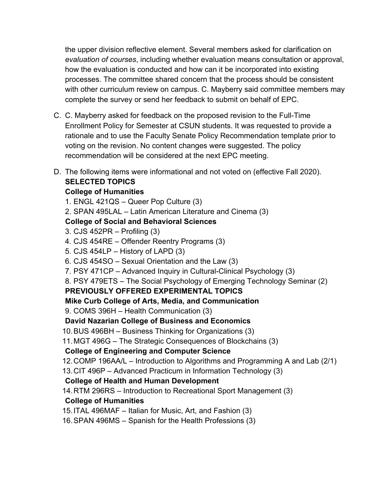the upper division reflective element. Several members asked for clarification on *evaluation of courses*, including whether evaluation means consultation or approval, how the evaluation is conducted and how can it be incorporated into existing processes. The committee shared concern that the process should be consistent with other curriculum review on campus. C. Mayberry said committee members may complete the survey or send her feedback to submit on behalf of EPC.

- C. C. Mayberry asked for feedback on the proposed revision to the Full-Time Enrollment Policy for Semester at CSUN students. It was requested to provide a rationale and to use the Faculty Senate Policy Recommendation template prior to voting on the revision. No content changes were suggested. The policy recommendation will be considered at the next EPC meeting.
- D. The following items were informational and not voted on (effective Fall 2020).

### **SELECTED TOPICS**

### **College of Humanities**

- 1. ENGL 421QS Queer Pop Culture (3)
- 2. SPAN 495LAL Latin American Literature and Cinema (3)

## **College of Social and Behavioral Sciences**

- 3. CJS 452PR Profiling (3)
- 4. CJS 454RE Offender Reentry Programs (3)
- 5. CJS 454LP History of LAPD (3)
- 6. CJS 454SO Sexual Orientation and the Law (3)
- 7. PSY 471CP Advanced Inquiry in Cultural-Clinical Psychology (3)
- 8. PSY 479ETS The Social Psychology of Emerging Technology Seminar (2)

## **PREVIOUSLY OFFERED EXPERIMENTAL TOPICS**

- **Mike Curb College of Arts, Media, and Communication**
- 9. COMS 396H Health Communication (3)

## **David Nazarian College of Business and Economics**

- 10. BUS 496BH Business Thinking for Organizations (3)
- 11. MGT 496G The Strategic Consequences of Blockchains (3)

## **College of Engineering and Computer Science**

- 12. COMP 196AA/L Introduction to Algorithms and Programming A and Lab (2/1)
- 13. CIT 496P Advanced Practicum in Information Technology (3)

## **College of Health and Human Development**

14.RTM 296RS – Introduction to Recreational Sport Management (3)

## **College of Humanities**

- 15. ITAL 496MAF Italian for Music, Art, and Fashion (3)
- 16. SPAN 496MS Spanish for the Health Professions (3)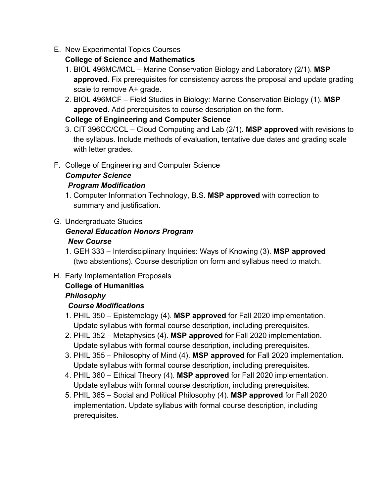E. New Experimental Topics Courses

### **College of Science and Mathematics**

- 1. BIOL 496MC/MCL Marine Conservation Biology and Laboratory (2/1). **MSP approved**. Fix prerequisites for consistency across the proposal and update grading scale to remove A+ grade.
- 2. BIOL 496MCF Field Studies in Biology: Marine Conservation Biology (1). **MSP approved**. Add prerequisites to course description on the form.

## **College of Engineering and Computer Science**

- 3. CIT 396CC/CCL Cloud Computing and Lab (2/1). **MSP approved** with revisions to the syllabus. Include methods of evaluation, tentative due dates and grading scale with letter grades.
- F. College of Engineering and Computer Science

### *Computer Science Program Modification*

- 1. Computer Information Technology, B.S. **MSP approved** with correction to summary and justification.
- G. Undergraduate Studies

### *General Education Honors Program New Course*

- 1. GEH 333 Interdisciplinary Inquiries: Ways of Knowing (3). **MSP approved**  (two abstentions). Course description on form and syllabus need to match.
- H. Early Implementation Proposals

# **College of Humanities**

## *Philosophy*

## *Course Modifications*

- 1. PHIL 350 Epistemology (4). **MSP approved** for Fall 2020 implementation. Update syllabus with formal course description, including prerequisites.
- 2. PHIL 352 Metaphysics (4). **MSP approved** for Fall 2020 implementation. Update syllabus with formal course description, including prerequisites.
- 3. PHIL 355 Philosophy of Mind (4). **MSP approved** for Fall 2020 implementation. Update syllabus with formal course description, including prerequisites.
- 4. PHIL 360 Ethical Theory (4). **MSP approved** for Fall 2020 implementation. Update syllabus with formal course description, including prerequisites.
- 5. PHIL 365 Social and Political Philosophy (4). **MSP approved** for Fall 2020 implementation. Update syllabus with formal course description, including prerequisites.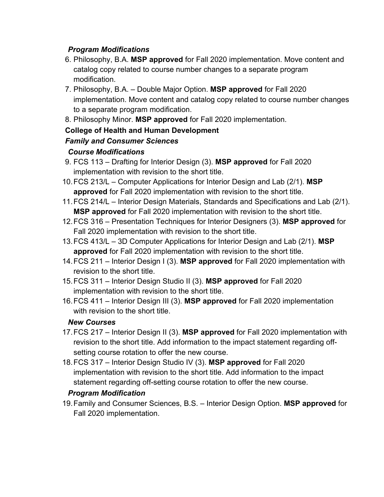### *Program Modifications*

- 6. Philosophy, B.A. **MSP approved** for Fall 2020 implementation. Move content and catalog copy related to course number changes to a separate program modification.
- 7. Philosophy, B.A. Double Major Option. **MSP approved** for Fall 2020 implementation. Move content and catalog copy related to course number changes to a separate program modification.
- 8. Philosophy Minor. **MSP approved** for Fall 2020 implementation.

### **College of Health and Human Development**

### *Family and Consumer Sciences*

### *Course Modifications*

- 9. FCS 113 Drafting for Interior Design (3). **MSP approved** for Fall 2020 implementation with revision to the short title.
- 10. FCS 213/L Computer Applications for Interior Design and Lab (2/1). **MSP approved** for Fall 2020 implementation with revision to the short title.
- 11. FCS 214/L Interior Design Materials, Standards and Specifications and Lab (2/1). **MSP approved** for Fall 2020 implementation with revision to the short title.
- 12. FCS 316 Presentation Techniques for Interior Designers (3). **MSP approved** for Fall 2020 implementation with revision to the short title.
- 13. FCS 413/L 3D Computer Applications for Interior Design and Lab (2/1). **MSP approved** for Fall 2020 implementation with revision to the short title.
- 14. FCS 211 Interior Design I (3). **MSP approved** for Fall 2020 implementation with revision to the short title.
- 15. FCS 311 Interior Design Studio II (3). **MSP approved** for Fall 2020 implementation with revision to the short title.
- 16. FCS 411 Interior Design III (3). **MSP approved** for Fall 2020 implementation with revision to the short title.

### *New Courses*

- 17. FCS 217 Interior Design II (3). **MSP approved** for Fall 2020 implementation with revision to the short title. Add information to the impact statement regarding offsetting course rotation to offer the new course.
- 18. FCS 317 Interior Design Studio IV (3). **MSP approved** for Fall 2020 implementation with revision to the short title. Add information to the impact statement regarding off-setting course rotation to offer the new course.

### *Program Modification*

19. Family and Consumer Sciences, B.S. – Interior Design Option. **MSP approved** for Fall 2020 implementation.